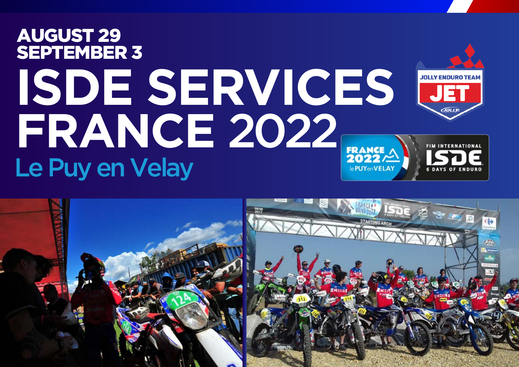# AUGUST 29 SEPTEMBER 3ISDE SERVICES **FRANCE** 2022 **FRANCE** Le Puy en Velay le PUYenVELAY

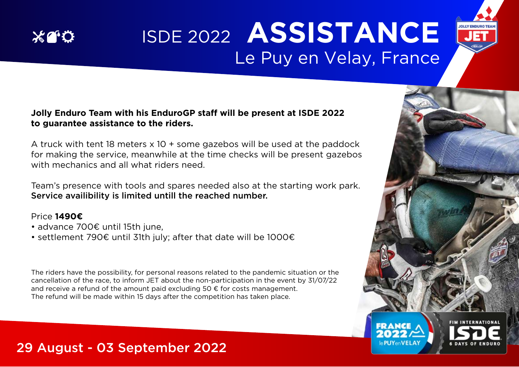

# ISDE 2022 **ASSISTANCE** Le Puy en Velay, France

#### **Jolly Enduro Team with his EnduroGP staff will be present at ISDE 2022 to guarantee assistance to the riders.**

A truck with tent 18 meters x 10 + some gazebos will be used at the paddock for making the service, meanwhile at the time checks will be present gazebos with mechanics and all what riders need.

Team's presence with tools and spares needed also at the starting work park. Service availibility is limited untill the reached number.

#### Price **1490€**

- advance 700€ until 15th june,
- settlement 790€ until 31th july; after that date will be 1000€

The riders have the possibility, for personal reasons related to the pandemic situation or the cancellation of the race, to inform JET about the non-participation in the event by 31/07/22 and receive a refund of the amount paid excluding  $50 \in \text{for costs management.}$ The refund will be made within 15 days after the competition has taken place.



**JOLLY ENDURO TEA**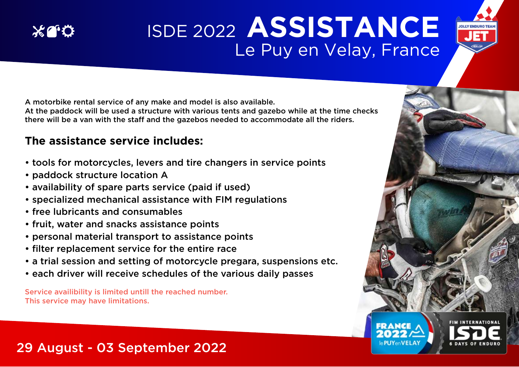# ISDE 2022 **ASSISTANCE** Le Puy en Velay, France

A motorbike rental service of any make and model is also available.

At the paddock will be used a structure with various tents and gazebo while at the time checks there will be a van with the staff and the gazebos needed to accommodate all the riders.

### **The assistance service includes:**

- tools for motorcycles, levers and tire changers in service points
- paddock structure location A

 $X^{\alpha}$ 

- availability of spare parts service (paid if used)
- specialized mechanical assistance with FIM regulations
- free lubricants and consumables
- fruit, water and snacks assistance points
- personal material transport to assistance points
- filter replacement service for the entire race
- a trial session and setting of motorcycle pregara, suspensions etc.
- each driver will receive schedules of the various daily passes

Service availibility is limited untill the reached number. This service may have limitations.

## 29 August - 03 September 2022



**JOLLY ENDURO TEA**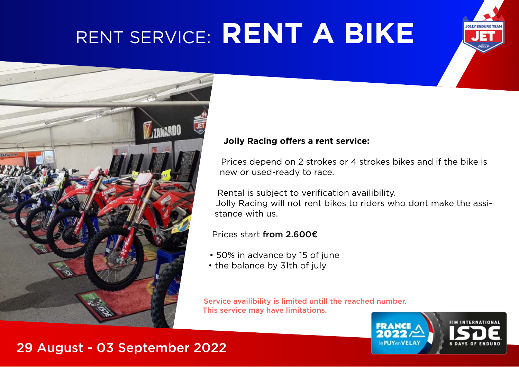# RENT SERVICE: **RENT A BIKE**





#### **Jolly Racing offers a rent service:**

Prices depend on 2 strokes or 4 strokes bikes and if the bike is new or used-ready to race.

Rental is subject to verification availibility.

Jolly Racing will not rent bikes to riders who dont make the assistance with us.

Prices start from 2.600€

- 50% in advance by 15 of june
- the balance by 31th of july

Service availibility is limited untill the reached number. This service may have limitations.

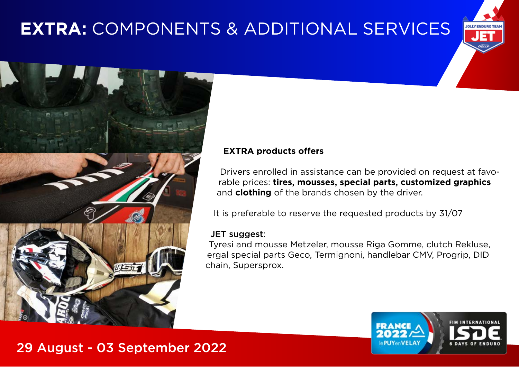# **EXTRA:** COMPONENTS & ADDITIONAL SERVICES





#### **EXTRA products offers**

Drivers enrolled in assistance can be provided on request at favorable prices: **tires, mousses, special parts, customized graphics**  and **clothing** of the brands chosen by the driver.

It is preferable to reserve the requested products by 31/07

#### JET suggest:

Tyresi and mousse Metzeler, mousse Riga Gomme, clutch Rekluse, ergal special parts Geco, Termignoni, handlebar CMV, Progrip, DID chain, Supersprox.